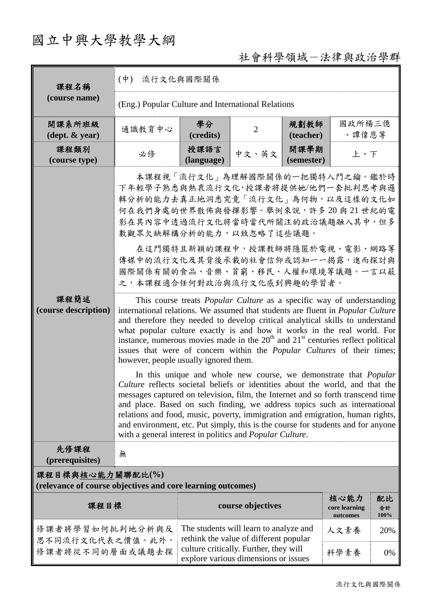## 國立中興大學教學大綱

## 社會科學領域-法律與政治學群

| 課程名稱<br>(course name)                                                           | $(\phi)$<br>流行文化與國際關係                                                                                                                                                                                                                                                                                                                                                                                                                                                                                                                                                                                                                                                                                                                                                                                                                                                                                                                                                                                                                                                                                                                                                                                                                                                                                                                                                                                        |                                                                                                                                                                    |                   |                    |                                   |                  |  |  |  |
|---------------------------------------------------------------------------------|--------------------------------------------------------------------------------------------------------------------------------------------------------------------------------------------------------------------------------------------------------------------------------------------------------------------------------------------------------------------------------------------------------------------------------------------------------------------------------------------------------------------------------------------------------------------------------------------------------------------------------------------------------------------------------------------------------------------------------------------------------------------------------------------------------------------------------------------------------------------------------------------------------------------------------------------------------------------------------------------------------------------------------------------------------------------------------------------------------------------------------------------------------------------------------------------------------------------------------------------------------------------------------------------------------------------------------------------------------------------------------------------------------------|--------------------------------------------------------------------------------------------------------------------------------------------------------------------|-------------------|--------------------|-----------------------------------|------------------|--|--|--|
|                                                                                 | (Eng.) Popular Culture and International Relations                                                                                                                                                                                                                                                                                                                                                                                                                                                                                                                                                                                                                                                                                                                                                                                                                                                                                                                                                                                                                                                                                                                                                                                                                                                                                                                                                           |                                                                                                                                                                    |                   |                    |                                   |                  |  |  |  |
| 開課系所班級<br>$(\text{dept.} \& \text{ year})$                                      | 通識教育中心                                                                                                                                                                                                                                                                                                                                                                                                                                                                                                                                                                                                                                                                                                                                                                                                                                                                                                                                                                                                                                                                                                                                                                                                                                                                                                                                                                                                       | 學分<br>(credits)                                                                                                                                                    | $\overline{2}$    | 規劃教師<br>(teacher)  | 國政所楊三億<br>、譚偉恩等                   |                  |  |  |  |
| 課程類別<br>(course type)                                                           | 必修                                                                                                                                                                                                                                                                                                                                                                                                                                                                                                                                                                                                                                                                                                                                                                                                                                                                                                                                                                                                                                                                                                                                                                                                                                                                                                                                                                                                           | 授課語言<br>(language)                                                                                                                                                 | 中文、英文             | 開課學期<br>(semester) | 上、下                               |                  |  |  |  |
| 課程簡述<br>(course description)                                                    | 本課程視「流行文化」為理解國際關係的一把獨特入門之鑰。鑑於時<br>下年輕學子熟悉與熱衷流行文化,授課者將提供她/他們一套批判思考與邏<br>輯分析的能力去真正地洞悉究竟「流行文化」為何物,以及這樣的文化如<br>何在我們身處的世界散佈與發揮影響。舉例來說,許多20與21世紀的電<br>影在其內容中透過流行文化將當時當代所關注的政治議題融入其中,但多<br>數觀眾欠缺解構分析的能力,以致忽略了這些議題。<br>在這門獨特且新穎的課程中,授課教師將隱匿於電視、電影、網路等<br>傳媒中的流行文化及其背後承載的社會信仰或認知一一揭露,進而探討與<br>國際關係有關的食品、音樂、貧窮、移民、人權和環境等議題。一言以蔽<br>之,本課程適合任何對政治與流行文化感到興趣的學習者。<br>This course treats <i>Popular Culture</i> as a specific way of understanding<br>international relations. We assumed that students are fluent in <i>Popular Culture</i><br>and therefore they needed to develop critical analytical skills to understand<br>what popular culture exactly is and how it works in the real world. For<br>instance, numerous movies made in the $20th$ and $21st$ centuries reflect political<br>issues that were of concern within the <i>Popular Cultures</i> of their times;<br>however, people usually ignored them.<br>In this unique and whole new course, we demonstrate that <i>Popular</i><br>Culture reflects societal beliefs or identities about the world, and that the<br>messages captured on television, film, the Internet and so forth transcend time<br>and place. Based on such finding, we address topics such as international<br>relations and food, music, poverty, immigration and emigration, human rights,<br>and environment, etc. Put simply, this is the course for students and for anyone |                                                                                                                                                                    |                   |                    |                                   |                  |  |  |  |
| 先修課程<br>(prerequisites)                                                         | 無                                                                                                                                                                                                                                                                                                                                                                                                                                                                                                                                                                                                                                                                                                                                                                                                                                                                                                                                                                                                                                                                                                                                                                                                                                                                                                                                                                                                            |                                                                                                                                                                    |                   |                    |                                   |                  |  |  |  |
| 課程目標與核心能力關聯配比(%)<br>(relevance of course objectives and core learning outcomes) |                                                                                                                                                                                                                                                                                                                                                                                                                                                                                                                                                                                                                                                                                                                                                                                                                                                                                                                                                                                                                                                                                                                                                                                                                                                                                                                                                                                                              |                                                                                                                                                                    |                   |                    |                                   |                  |  |  |  |
| 課程目標                                                                            |                                                                                                                                                                                                                                                                                                                                                                                                                                                                                                                                                                                                                                                                                                                                                                                                                                                                                                                                                                                                                                                                                                                                                                                                                                                                                                                                                                                                              |                                                                                                                                                                    | course objectives |                    | 核心能力<br>core learning<br>outcomes | 配比<br>合計<br>100% |  |  |  |
| 修課者將學習如何批判地分析與反<br>思不同流行文化代表之價值。此外,<br>修課者將從不同的層面或議題去探                          |                                                                                                                                                                                                                                                                                                                                                                                                                                                                                                                                                                                                                                                                                                                                                                                                                                                                                                                                                                                                                                                                                                                                                                                                                                                                                                                                                                                                              | The students will learn to analyze and<br>rethink the value of different popular<br>culture critically. Further, they will<br>explore various dimensions or issues |                   |                    | 人文素養                              | 20%              |  |  |  |
|                                                                                 |                                                                                                                                                                                                                                                                                                                                                                                                                                                                                                                                                                                                                                                                                                                                                                                                                                                                                                                                                                                                                                                                                                                                                                                                                                                                                                                                                                                                              |                                                                                                                                                                    |                   |                    | 科學素養                              | 0%               |  |  |  |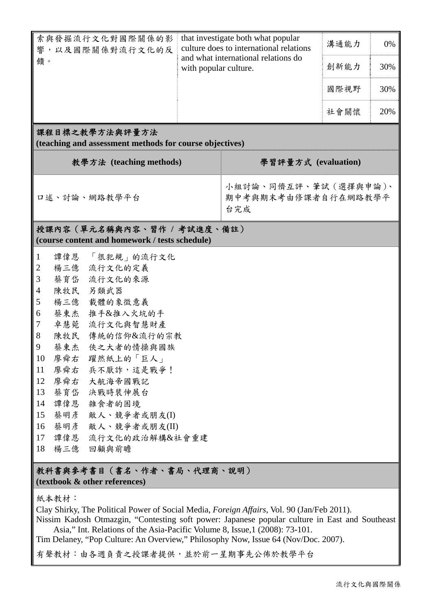| 索與發掘流行文化對國際關係的影<br>, 以及國際關係對流行文化的反<br>響                                                        | that investigate both what popular<br>culture does to international relations |  | 溝通能力 | 0%  |  |  |  |  |  |
|------------------------------------------------------------------------------------------------|-------------------------------------------------------------------------------|--|------|-----|--|--|--|--|--|
| 饋。                                                                                             | and what international relations do<br>with popular culture.                  |  | 創新能力 | 30% |  |  |  |  |  |
|                                                                                                |                                                                               |  | 國際視野 | 30% |  |  |  |  |  |
|                                                                                                |                                                                               |  | 社會關懷 | 20% |  |  |  |  |  |
| 課程目標之教學方法與評量方法<br>(teaching and assessment methods for course objectives)                      |                                                                               |  |      |     |  |  |  |  |  |
| 教學方法 (teaching methods)                                                                        | 學習評量方式 (evaluation)                                                           |  |      |     |  |  |  |  |  |
| 口述、討論、網路教學平台                                                                                   | 小組討論、同儕互評、筆試 (選擇與申論)、<br>期中考與期末考由修課者自行在網路教學平<br>台完成                           |  |      |     |  |  |  |  |  |
| 授課內容(單元名稱與內容、習作 / 考試進度、備註)                                                                     |                                                                               |  |      |     |  |  |  |  |  |
| (course content and homework / tests schedule)                                                 |                                                                               |  |      |     |  |  |  |  |  |
| 「很犯規」的流行文化<br>$\mathbf{1}$<br>譚偉恩                                                              |                                                                               |  |      |     |  |  |  |  |  |
| 3<br>蔡育岱<br>流行文化的來源                                                                            | 流行文化的定義<br>$\overline{2}$<br>楊三億                                              |  |      |     |  |  |  |  |  |
| 陳牧民 另類武器<br>$\overline{4}$                                                                     |                                                                               |  |      |     |  |  |  |  |  |
| 5<br>楊三億<br>載體的象徵意義                                                                            |                                                                               |  |      |     |  |  |  |  |  |
| 蔡東杰<br>6<br>推手&推入火坑的手                                                                          |                                                                               |  |      |     |  |  |  |  |  |
| $\overline{7}$<br>卓慧菀 流行文化與智慧財產                                                                |                                                                               |  |      |     |  |  |  |  |  |
| 8<br>陳牧民 傳統的信仰&流行的宗教                                                                           |                                                                               |  |      |     |  |  |  |  |  |
| 9<br>蔡東杰 俠之大者的情操與國族                                                                            |                                                                               |  |      |     |  |  |  |  |  |
| 10<br>廖舜右<br>躍然紙上的「巨人」                                                                         |                                                                               |  |      |     |  |  |  |  |  |
| 廖舜右 兵不厭詐,這是戰爭!<br>11                                                                           |                                                                               |  |      |     |  |  |  |  |  |
| 12<br>廖舜右 大航海帝國戰記                                                                              |                                                                               |  |      |     |  |  |  |  |  |
| 13<br>蔡育岱 決戰時裝伸展台                                                                              |                                                                               |  |      |     |  |  |  |  |  |
| 14<br>譚偉恩 雜食者的困境                                                                               |                                                                               |  |      |     |  |  |  |  |  |
| 15<br>蔡明彥 敵人、競爭者或朋友(I)                                                                         |                                                                               |  |      |     |  |  |  |  |  |
| 蔡明彦<br>敵人、競爭者或朋友(II)<br>16                                                                     |                                                                               |  |      |     |  |  |  |  |  |
| 17<br>譚偉恩 流行文化的政治解構&社會重建                                                                       |                                                                               |  |      |     |  |  |  |  |  |
| 18<br>楊三億 回顧與前瞻                                                                                |                                                                               |  |      |     |  |  |  |  |  |
| 教科書與參考書目(書名、作者、書局、代理商、說明)<br>(textbook & other references)                                     |                                                                               |  |      |     |  |  |  |  |  |
| 紙本教材:                                                                                          |                                                                               |  |      |     |  |  |  |  |  |
| Clay Shirky, The Political Power of Social Media, Foreign Affairs, Vol. 90 (Jan/Feb 2011).     |                                                                               |  |      |     |  |  |  |  |  |
| Nissim Kadosh Otmazgin, "Contesting soft power: Japanese popular culture in East and Southeast |                                                                               |  |      |     |  |  |  |  |  |
| Asia," Int. Relations of the Asia-Pacific Volume 8, Issue, 1 (2008): 73-101.                   |                                                                               |  |      |     |  |  |  |  |  |
| Tim Delaney, "Pop Culture: An Overview," Philosophy Now, Issue 64 (Nov/Doc. 2007).             |                                                                               |  |      |     |  |  |  |  |  |
| 有聲教材:由各週負責之授課者提供,並於前一星期事先公佈於教學平台                                                               |                                                                               |  |      |     |  |  |  |  |  |